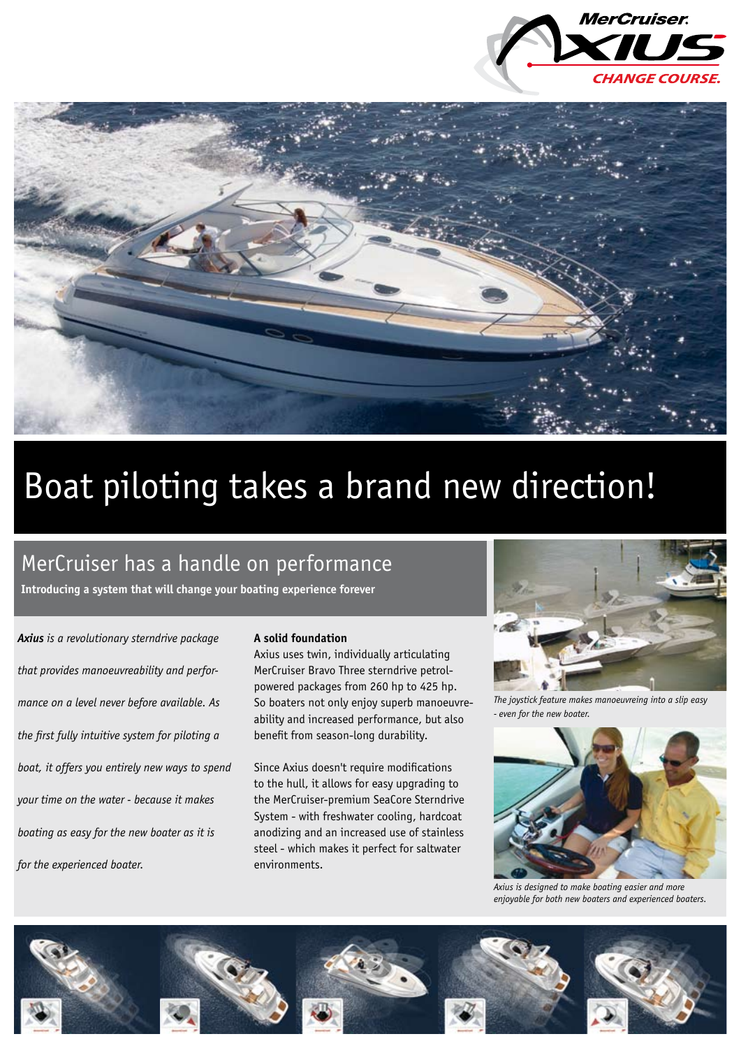



# Boat piloting takes a brand new direction!

### MerCruiser has a handle on performance

**Introducing a system that will change your boating experience forever**

*Axius is a revolutionary sterndrive package that provides manoeuvreability and performance on a level never before available. As the first fully intuitive system for piloting a boat, it offers you entirely new ways to spend your time on the water - because it makes boating as easy for the new boater as it is for the experienced boater.* 

### **A solid foundation**

Axius uses twin, individually articulating MerCruiser Bravo Three sterndrive petrolpowered packages from 260 hp to 425 hp. So boaters not only enjoy superb manoeuvreability and increased performance, but also benefit from season-long durability.

Since Axius doesn't require modifications to the hull, it allows for easy upgrading to the MerCruiser-premium SeaCore Sterndrive System - with freshwater cooling, hardcoat anodizing and an increased use of stainless steel - which makes it perfect for saltwater environments.



*The joystick feature makes manoeuvreing into a slip easy - even for the new boater.*



*Axius is designed to make boating easier and more enjoyable for both new boaters and experienced boaters.*